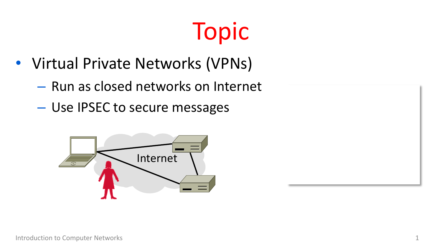## Topic

- Virtual Private Networks (VPNs)
	- Run as closed networks on Internet
	- Use IPSEC to secure messages



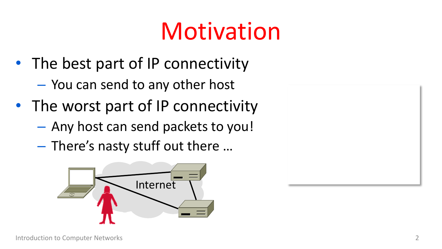#### Motivation

- The best part of IP connectivity
	- You can send to any other host
- The worst part of IP connectivity
	- Any host can send packets to you!
	- There's nasty stuff out there …



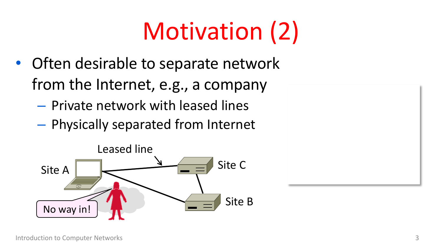## Motivation (2)

- Often desirable to separate network from the Internet, e.g., a company
	- Private network with leased lines
	- Physically separated from Internet

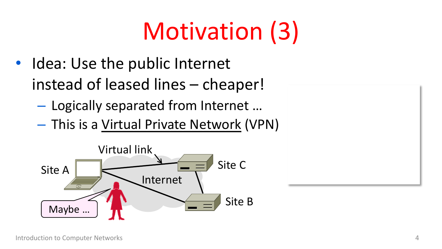## Motivation (3)

- Idea: Use the public Internet instead of leased lines – cheaper!
	- Logically separated from Internet …
	- This is a Virtual Private Network (VPN)

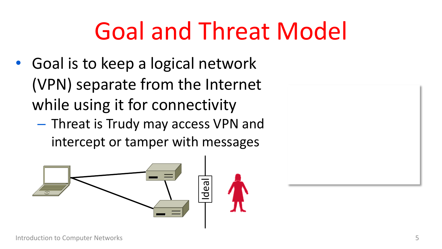#### Goal and Threat Model

- Goal is to keep a logical network (VPN) separate from the Internet while using it for connectivity
	- Threat is Trudy may access VPN and intercept or tamper with messages



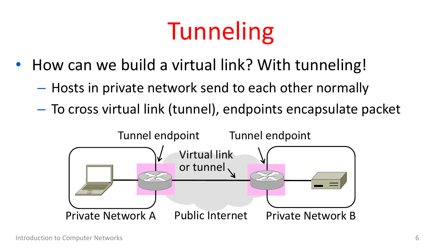## **Tunneling**

- How can we build a virtual link? With tunneling!
	- Hosts in private network send to each other normally
	- To cross virtual link (tunnel), endpoints encapsulate packet

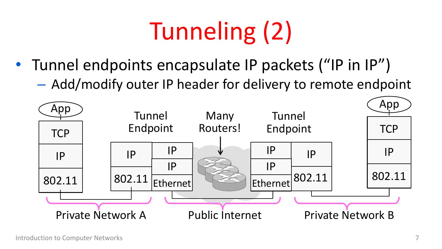# Tunneling (2)

- Tunnel endpoints encapsulate IP packets ("IP in IP")
	- Add/modify outer IP header for delivery to remote endpoint

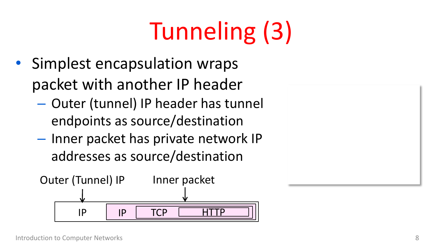# Tunneling (3)

- Simplest encapsulation wraps packet with another IP header
	- Outer (tunnel) IP header has tunnel endpoints as source/destination
	- Inner packet has private network IP addresses as source/destination

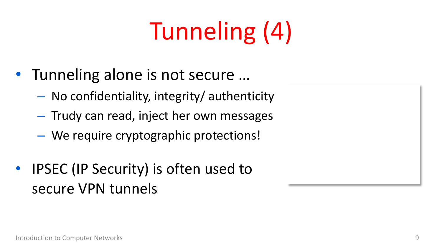# Tunneling (4)

- Tunneling alone is not secure …
	- No confidentiality, integrity/ authenticity
	- Trudy can read, inject her own messages
	- We require cryptographic protections!
- IPSEC (IP Security) is often used to secure VPN tunnels

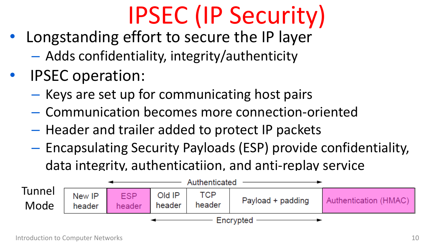## IPSEC (IP Security)

- Longstanding effort to secure the IP layer
	- Adds confidentiality, integrity/authenticity
- IPSEC operation:
	- Keys are set up for communicating host pairs
	- Communication becomes more connection-oriented
	- Header and trailer added to protect IP packets
	- Encapsulating Security Payloads (ESP) provide confidentiality, data integrity, authenticatiion, and anti-replay service

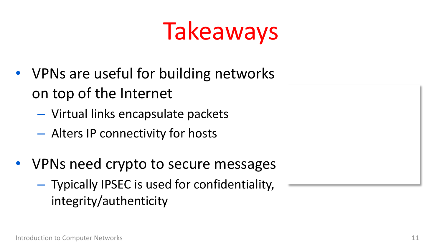#### Takeaways

- VPNs are useful for building networks on top of the Internet
	- Virtual links encapsulate packets
	- Alters IP connectivity for hosts
- VPNs need crypto to secure messages
	- Typically IPSEC is used for confidentiality, integrity/authenticity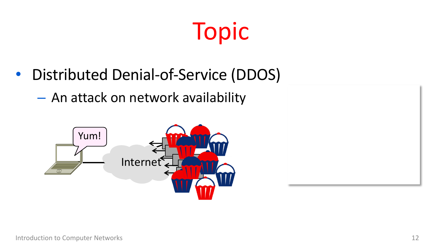#### Topic

- Distributed Denial-of-Service (DDOS)
	- An attack on network availability

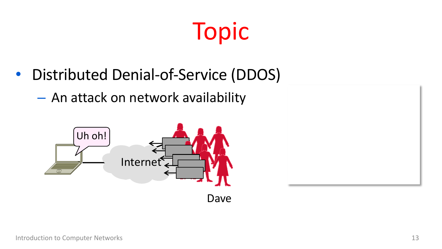#### Topic

- Distributed Denial-of-Service (DDOS)
	- An attack on network availability

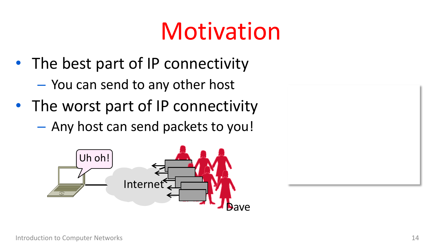#### Motivation

- The best part of IP connectivity
	- You can send to any other host
- The worst part of IP connectivity
	- Any host can send packets to you!



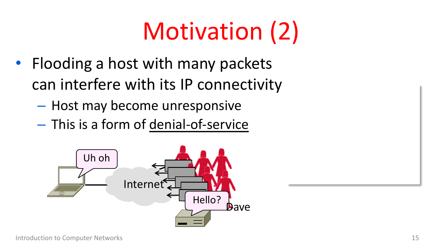## Motivation (2)

- Flooding a host with many packets can interfere with its IP connectivity
	- Host may become unresponsive
	- This is a form of denial-of-service

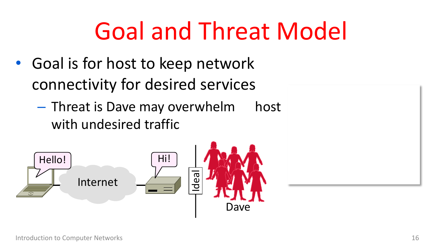#### Goal and Threat Model

- Goal is for host to keep network connectivity for desired services
	- Threat is Dave may overwhelm host with undesired traffic

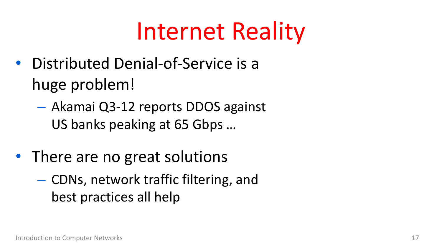#### Internet Reality

- Distributed Denial-of-Service is a huge problem!
	- Akamai Q3-12 reports DDOS against US banks peaking at 65 Gbps …
- There are no great solutions
	- CDNs, network traffic filtering, and best practices all help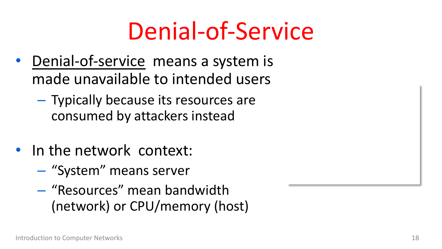#### Denial-of-Service

- Denial-of-service means a system is made unavailable to intended users
	- Typically because its resources are consumed by attackers instead
- In the network context:
	- "System" means server
	- "Resources" mean bandwidth (network) or CPU/memory (host)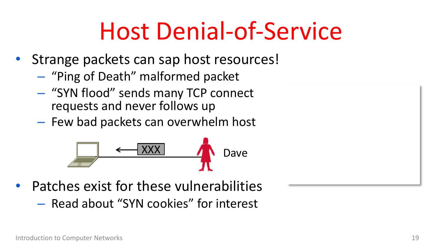#### Host Denial-of-Service

- Strange packets can sap host resources!
	- "Ping of Death" malformed packet
	- "SYN flood" sends many TCP connect requests and never follows up
	- Few bad packets can overwhelm host



• Patches exist for these vulnerabilities – Read about "SYN cookies" for interest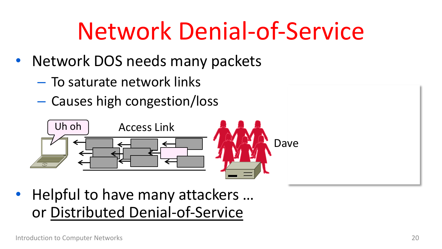#### Network Denial-of-Service

- Network DOS needs many packets
	- To saturate network links
	- Causes high congestion/loss



• Helpful to have many attackers ... or Distributed Denial-of-Service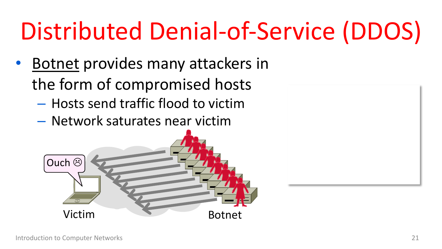## Distributed Denial-of-Service (DDOS)

- Botnet provides many attackers in the form of compromised hosts
	- Hosts send traffic flood to victim
	- Network saturates near victim

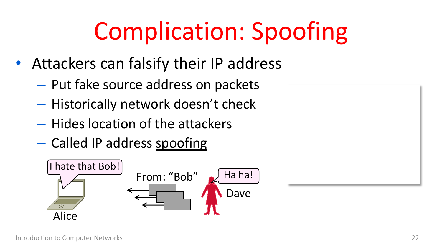### Complication: Spoofing

- Attackers can falsify their IP address
	- Put fake source address on packets
	- Historically network doesn't check
	- Hides location of the attackers
	- Called IP address spoofing

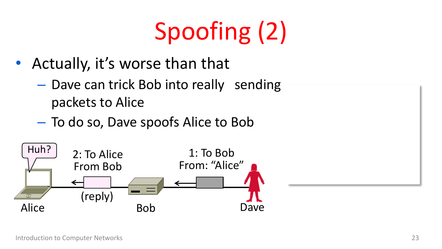# Spoofing (2)

- Actually, it's worse than that
	- Dave can trick Bob into really sending packets to Alice
	- To do so, Dave spoofs Alice to Bob

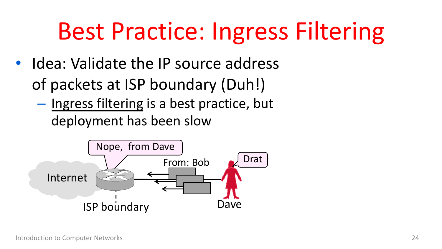#### Best Practice: Ingress Filtering

- Idea: Validate the IP source address of packets at ISP boundary (Duh!)
	- Ingress filtering is a best practice, but deployment has been slow